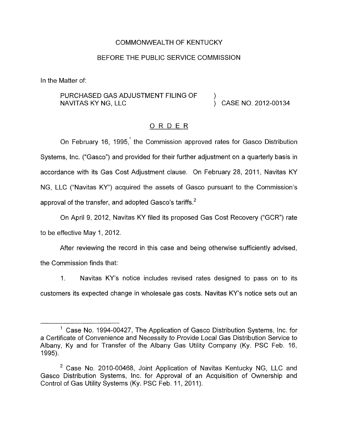# COMMONWEALTH OF KENTUCKY

# BEFORE THE PUBLIC SERVICE COMMISSION

In the Matter of:

# PURCHASED GAS ADJUSTMENT FILING OF NAVITAS KY NG, LLC ) CASE NO. 2012-00134 )

#### ORDER

On February 16, 1995,' the Commission approved rates for Gasco Distribution Systems, lnc. ("Gasco") and provided for their further adjustment on a quarterly basis in accordance with its Gas Cost Adjustment clause. On February 28, 2011, Navitas KY NG, LLC ("Navitas KY") acquired the assets of Gasco pursuant to the Commission's approval of the transfer, and adopted Gasco's tariffs. $<sup>2</sup>$ </sup>

On April 9, 2012, Navitas KY filed its proposed Gas Cost Recovery ("GCR") rate to be effective May 1, 2012.

After reviewing the record in this case and being otherwise sufficiently advised, the Commission finds that:

1. Navitas KY's notice includes revised rates designed to pass on to its customers its expected change in wholesale gas costs. Navitas KY's notice sets out an

<sup>&</sup>lt;sup>1</sup> Case No. 1994-00427, The Application of Gasco Distribution Systems, Inc. for a Certificate of Convenience and Necessity to Provide Local Gas Distribution Service to Albany, Ky and for Transfer of the Albany Gas Utility Company (Ky. PSC Feb. 16, 1995).

<sup>&</sup>lt;sup>2</sup> Case No. 2010-00468, Joint Application of Navitas Kentucky NG, LLC and Gasco Distribution Systems, Inc. for Approval of an Acquisition of Ownership and Control of Gas Utility Systems (Ky. PSC Feb. 11, 2011).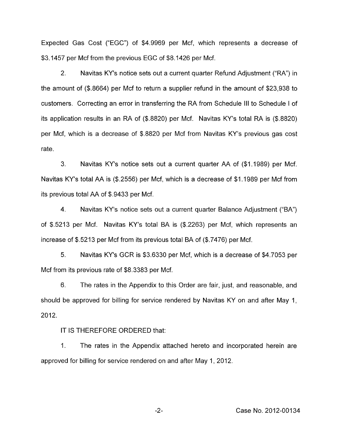Expected Gas Cost ("EGC") of \$4.9969 per Mcf, which represents a decrease of \$3.1457 per Mcf from the previous EGC of \$8.1426 per Mcf.

2. Navitas KY's notice sets out a current quarter Refund Adjustment ("RA") in the amount of (\$.8664) per Mcf to return a supplier refund in the amount of \$23,938 to customers. Correcting an error in transferring the RA from Schedule Ill to Schedule I of its application results in an RA of (\$.8820) per Mcf. Navitas KY's total RA is (\$.8820) per Mcf, which is a decrease of \$.8820 per Mcf from Navitas KY's previous gas cost rate.

3. Navitas KY's notice sets out a current quarter AA of (\$1 .I 989) per Mcf. Navitas KY's total AA is (\$.2556) per Mcf, which is a decrease of \$1.1989 per Mcf from its previous total AA of \$.9433 per Mcf.

4. Navitas KY's notice sets out a current quarter Balance Adjustment ("BA") of \$5213 per Mcf. Navitas KY's total BA is (\$.2263) per Mcf, which represents an increase of \$.5213 per Mcf from its previous total BA of (\$.7476) per Mcf.

*5.* Navitas KY's GCR is \$3.6330 per Mcf, which is a decrease of \$4.7053 per Mcf from its previous rate of \$8.3383 per Mcf.

6. The rates in the Appendix to this Order are fair, just, and reasonable, and should be approved for billing for service rendered by Navitas KY on and after May 1, 2012.

IT IS THEREFORE ORDERED that:

1. The rates in the Appendix attached hereto and incorporated herein are approved for billing for service rendered on and after May 1, 2012.

-2- Case No. 2012-00134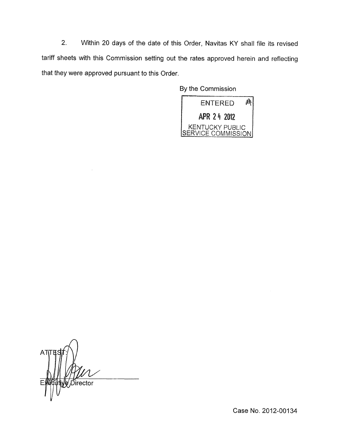*2.* Within 20 days of the date of this Order, Navitas KY shall file its revised tariff sheets with this Commission setting out the rates approved herein and reflecting that they were approved pursuant to this Order.

> By the Commission  $\mathscr{D}$ **ENTERED** APR 24 2012

KENTUCKY PUBLIC SERVICE COMMISSION

 $\overline{\mathcal{A}}$ **ATTH** e Director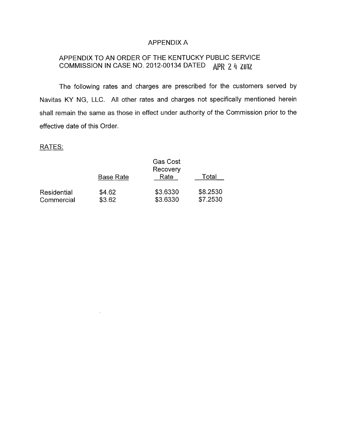# APPENDIX A

# APPENDIX TO AN ORDER OF THE KENTUCKY PUBLIC SERVICE COMMISSION IN CASE NO. 2012-00134 DATED APR 2 4 ZUIZ

The following rates and charges are prescribed for the customers served by Navitas KY NG, LLC. All other rates and charges not specifically mentioned herein shall remain the same as those in effect under authority of the Commission prior to the effective date of this Order.

# RATES:

|             | <b>Base Rate</b> | <b>Gas Cost</b><br>Recovery<br>Rate | Total    |
|-------------|------------------|-------------------------------------|----------|
| Residential | \$4.62           | \$3.6330                            | \$8.2530 |
| Commercial  | \$3.62           | \$3.6330                            | \$7.2530 |